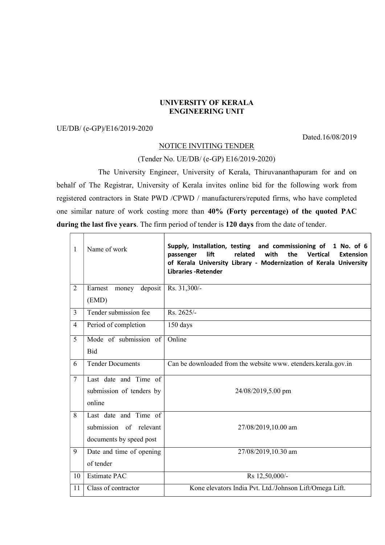## UNIVERSITY OF KERALA ENGINEERING UNIT

## UE/DB/ (e-GP)/E16/2019-2020

Dated.16/08/2019

┑

## NOTICE INVITING TENDER

## (Tender No. UE/DB/ (e-GP) E16/2019-2020)

 The University Engineer, University of Kerala, Thiruvananthapuram for and on behalf of The Registrar, University of Kerala invites online bid for the following work from registered contractors in State PWD /CPWD / manufacturers/reputed firms, who have completed one similar nature of work costing more than 40% (Forty percentage) of the quoted PAC during the last five years. The firm period of tender is 120 days from the date of tender.

| 1              | Name of work                | Supply, Installation, testing and commissioning of<br>1 No. of 6<br>related<br>with<br>the<br>lift<br><b>Vertical</b><br><b>Extension</b><br>passenger<br>of Kerala University Library - Modernization of Kerala University<br><b>Libraries - Retender</b> |
|----------------|-----------------------------|------------------------------------------------------------------------------------------------------------------------------------------------------------------------------------------------------------------------------------------------------------|
| $\overline{2}$ | Earnest<br>deposit<br>money | Rs. 31,300/-                                                                                                                                                                                                                                               |
|                | (EMD)                       |                                                                                                                                                                                                                                                            |
| $\overline{3}$ | Tender submission fee       | $Rs. 2625/-$                                                                                                                                                                                                                                               |
| 4              | Period of completion        | 150 days                                                                                                                                                                                                                                                   |
| 5              | Mode of submission of       | Online                                                                                                                                                                                                                                                     |
|                | <b>Bid</b>                  |                                                                                                                                                                                                                                                            |
| 6              | <b>Tender Documents</b>     | Can be downloaded from the website www. etenders.kerala.gov.in                                                                                                                                                                                             |
| $\overline{7}$ | Last date and Time of       |                                                                                                                                                                                                                                                            |
|                | submission of tenders by    | 24/08/2019,5.00 pm                                                                                                                                                                                                                                         |
|                | online                      |                                                                                                                                                                                                                                                            |
| 8              | Last date and Time of       |                                                                                                                                                                                                                                                            |
|                | submission of relevant      | 27/08/2019,10.00 am                                                                                                                                                                                                                                        |
|                | documents by speed post     |                                                                                                                                                                                                                                                            |
| 9              | Date and time of opening    | 27/08/2019,10.30 am                                                                                                                                                                                                                                        |
|                | of tender                   |                                                                                                                                                                                                                                                            |
| 10             | <b>Estimate PAC</b>         | Rs 12,50,000/-                                                                                                                                                                                                                                             |
| 11             | Class of contractor         | Kone elevators India Pvt. Ltd./Johnson Lift/Omega Lift.                                                                                                                                                                                                    |